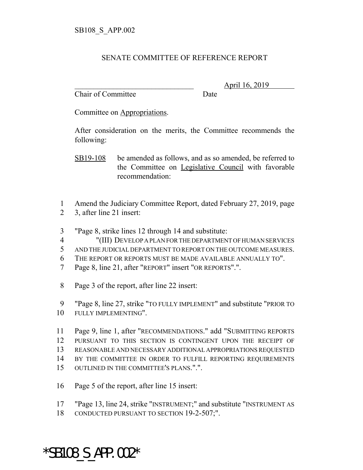## SENATE COMMITTEE OF REFERENCE REPORT

Chair of Committee Date

\_\_\_\_\_\_\_\_\_\_\_\_\_\_\_\_\_\_\_\_\_\_\_\_\_\_\_\_\_\_\_ April 16, 2019

Committee on Appropriations.

After consideration on the merits, the Committee recommends the following:

SB19-108 be amended as follows, and as so amended, be referred to the Committee on Legislative Council with favorable recommendation:

- 1 Amend the Judiciary Committee Report, dated February 27, 2019, page
- 2 3, after line 21 insert:
- 3 "Page 8, strike lines 12 through 14 and substitute:
- 4 "(III) DEVELOP A PLAN FOR THE DEPARTMENT OF HUMAN SERVICES
- 5 AND THE JUDICIAL DEPARTMENT TO REPORT ON THE OUTCOME MEASURES.
- 6 THE REPORT OR REPORTS MUST BE MADE AVAILABLE ANNUALLY TO".
- 7 Page 8, line 21, after "REPORT" insert "OR REPORTS".".
- 8 Page 3 of the report, after line 22 insert:

9 "Page 8, line 27, strike "TO FULLY IMPLEMENT" and substitute "PRIOR TO 10 FULLY IMPLEMENTING".

 Page 9, line 1, after "RECOMMENDATIONS." add "SUBMITTING REPORTS PURSUANT TO THIS SECTION IS CONTINGENT UPON THE RECEIPT OF REASONABLE AND NECESSARY ADDITIONAL APPROPRIATIONS REQUESTED BY THE COMMITTEE IN ORDER TO FULFILL REPORTING REQUIREMENTS OUTLINED IN THE COMMITTEE'S PLANS.".".

- 16 Page 5 of the report, after line 15 insert:
- 17 "Page 13, line 24, strike "INSTRUMENT;" and substitute "INSTRUMENT AS
- 18 CONDUCTED PURSUANT TO SECTION 19-2-507;".

## \*SB108\_S\_APP.002\*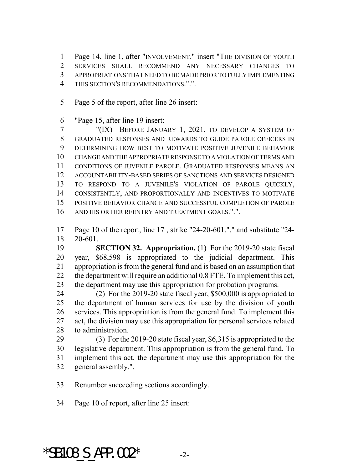Page 14, line 1, after "INVOLVEMENT." insert "THE DIVISION OF YOUTH SERVICES SHALL RECOMMEND ANY NECESSARY CHANGES TO APPROPRIATIONS THAT NEED TO BE MADE PRIOR TO FULLY IMPLEMENTING THIS SECTION'S RECOMMENDATIONS.".".

Page 5 of the report, after line 26 insert:

"Page 15, after line 19 insert:

 "(IX) BEFORE JANUARY 1, 2021, TO DEVELOP A SYSTEM OF GRADUATED RESPONSES AND REWARDS TO GUIDE PAROLE OFFICERS IN DETERMINING HOW BEST TO MOTIVATE POSITIVE JUVENILE BEHAVIOR CHANGE AND THE APPROPRIATE RESPONSE TO A VIOLATION OF TERMS AND CONDITIONS OF JUVENILE PAROLE. GRADUATED RESPONSES MEANS AN ACCOUNTABILITY-BASED SERIES OF SANCTIONS AND SERVICES DESIGNED TO RESPOND TO A JUVENILE'S VIOLATION OF PAROLE QUICKLY, CONSISTENTLY, AND PROPORTIONALLY AND INCENTIVES TO MOTIVATE POSITIVE BEHAVIOR CHANGE AND SUCCESSFUL COMPLETION OF PAROLE AND HIS OR HER REENTRY AND TREATMENT GOALS.".".

 Page 10 of the report, line 17 , strike "24-20-601."." and substitute "24- 20-601.

 **SECTION 32. Appropriation.** (1) For the 2019-20 state fiscal year, \$68,598 is appropriated to the judicial department. This appropriation is from the general fund and is based on an assumption that the department will require an additional 0.8 FTE. To implement this act, the department may use this appropriation for probation programs.

 (2) For the 2019-20 state fiscal year, \$500,000 is appropriated to the department of human services for use by the division of youth services. This appropriation is from the general fund. To implement this act, the division may use this appropriation for personal services related to administration.

 (3) For the 2019-20 state fiscal year, \$6,315 is appropriated to the legislative department. This appropriation is from the general fund. To implement this act, the department may use this appropriation for the general assembly.".

Renumber succeeding sections accordingly.

Page 10 of report, after line 25 insert:

## \*SB108 S APP.002\*  $-2$ -